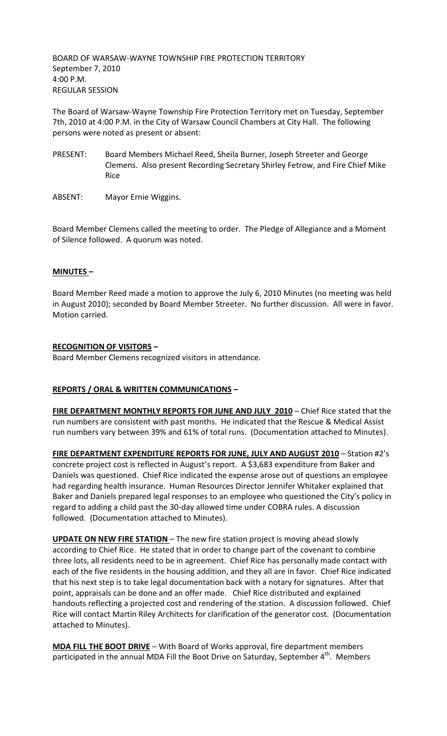BOARD OF WARSAW-WAYNE TOWNSHIP FIRE PROTECTION TERRITORY September 7, 2010 4:00 P.M. REGULAR SESSION

The Board of Warsaw-Wayne Township Fire Protection Territory met on Tuesday, September 7th, 2010 at 4:00 P.M. in the City of Warsaw Council Chambers at City Hall. The following persons were noted as present or absent:

- PRESENT: Board Members Michael Reed, Sheila Burner, Joseph Streeter and George Clemens. Also present Recording Secretary Shirley Fetrow, and Fire Chief Mike Rice
- ABSENT: Mayor Ernie Wiggins.

Board Member Clemens called the meeting to order. The Pledge of Allegiance and a Moment of Silence followed. A quorum was noted.

## **MINUTES –**

Board Member Reed made a motion to approve the July 6, 2010 Minutes (no meeting was held in August 2010); seconded by Board Member Streeter. No further discussion. All were in favor. Motion carried.

## **RECOGNITION OF VISITORS –**

Board Member Clemens recognized visitors in attendance.

# **REPORTS / ORAL & WRITTEN COMMUNICATIONS –**

**FIRE DEPARTMENT MONTHLY REPORTS FOR JUNE AND JULY 2010** – Chief Rice stated that the run numbers are consistent with past months. He indicated that the Rescue & Medical Assist run numbers vary between 39% and 61% of total runs. (Documentation attached to Minutes).

**FIRE DEPARTMENT EXPENDITURE REPORTS FOR JUNE, JULY AND AUGUST 2010** – Station #2's concrete project cost is reflected in August's report. A \$3,683 expenditure from Baker and Daniels was questioned. Chief Rice indicated the expense arose out of questions an employee had regarding health insurance. Human Resources Director Jennifer Whitaker explained that Baker and Daniels prepared legal responses to an employee who questioned the City's policy in regard to adding a child past the 30-day allowed time under COBRA rules. A discussion followed. (Documentation attached to Minutes).

**UPDATE ON NEW FIRE STATION** – The new fire station project is moving ahead slowly according to Chief Rice. He stated that in order to change part of the covenant to combine three lots, all residents need to be in agreement. Chief Rice has personally made contact with each of the five residents in the housing addition, and they all are in favor. Chief Rice indicated that his next step is to take legal documentation back with a notary for signatures. After that point, appraisals can be done and an offer made. Chief Rice distributed and explained handouts reflecting a projected cost and rendering of the station. A discussion followed. Chief Rice will contact Martin Riley Architects for clarification of the generator cost. (Documentation attached to Minutes).

**MDA FILL THE BOOT DRIVE** – With Board of Works approval, fire department members participated in the annual MDA Fill the Boot Drive on Saturday, September  $4<sup>th</sup>$ . Members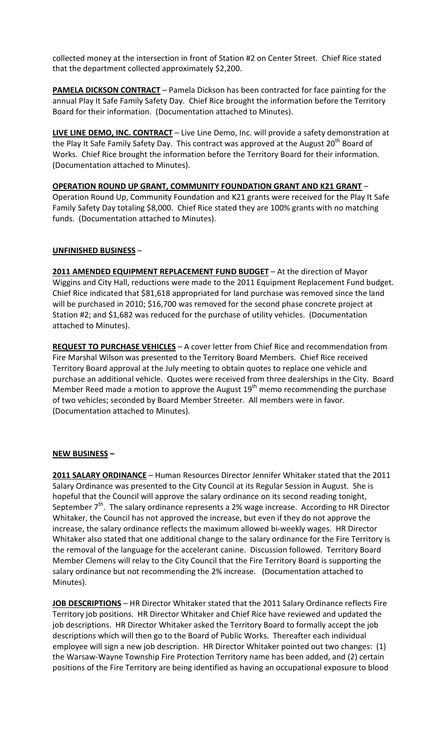collected money at the intersection in front of Station #2 on Center Street. Chief Rice stated that the department collected approximately \$2,200.

**PAMELA DICKSON CONTRACT** – Pamela Dickson has been contracted for face painting for the annual Play It Safe Family Safety Day. Chief Rice brought the information before the Territory Board for their information. (Documentation attached to Minutes).

**LIVE LINE DEMO, INC. CONTRACT** – Live Line Demo, Inc. will provide a safety demonstration at the Play It Safe Family Safety Day. This contract was approved at the August 20<sup>th</sup> Board of Works. Chief Rice brought the information before the Territory Board for their information. (Documentation attached to Minutes).

**OPERATION ROUND UP GRANT, COMMUNITY FOUNDATION GRANT AND K21 GRANT** – Operation Round Up, Community Foundation and K21 grants were received for the Play It Safe Family Safety Day totaling \$8,000. Chief Rice stated they are 100% grants with no matching funds. (Documentation attached to Minutes).

### **UNFINISHED BUSINESS** –

**2011 AMENDED EQUIPMENT REPLACEMENT FUND BUDGET** – At the direction of Mayor Wiggins and City Hall, reductions were made to the 2011 Equipment Replacement Fund budget. Chief Rice indicated that \$81,618 appropriated for land purchase was removed since the land will be purchased in 2010; \$16,700 was removed for the second phase concrete project at Station #2; and \$1,682 was reduced for the purchase of utility vehicles. (Documentation attached to Minutes).

**REQUEST TO PURCHASE VEHICLES** – A cover letter from Chief Rice and recommendation from Fire Marshal Wilson was presented to the Territory Board Members. Chief Rice received Territory Board approval at the July meeting to obtain quotes to replace one vehicle and purchase an additional vehicle. Quotes were received from three dealerships in the City. Board Member Reed made a motion to approve the August  $19<sup>th</sup>$  memo recommending the purchase of two vehicles; seconded by Board Member Streeter. All members were in favor. (Documentation attached to Minutes).

### **NEW BUSINESS –**

**2011 SALARY ORDINANCE** – Human Resources Director Jennifer Whitaker stated that the 2011 Salary Ordinance was presented to the City Council at its Regular Session in August. She is hopeful that the Council will approve the salary ordinance on its second reading tonight, September 7<sup>th</sup>. The salary ordinance represents a 2% wage increase. According to HR Director Whitaker, the Council has not approved the increase, but even if they do not approve the increase, the salary ordinance reflects the maximum allowed bi-weekly wages. HR Director Whitaker also stated that one additional change to the salary ordinance for the Fire Territory is the removal of the language for the accelerant canine. Discussion followed. Territory Board Member Clemens will relay to the City Council that the Fire Territory Board is supporting the salary ordinance but not recommending the 2% increase. (Documentation attached to Minutes).

**JOB DESCRIPTIONS** – HR Director Whitaker stated that the 2011 Salary Ordinance reflects Fire Territory job positions. HR Director Whitaker and Chief Rice have reviewed and updated the job descriptions. HR Director Whitaker asked the Territory Board to formally accept the job descriptions which will then go to the Board of Public Works. Thereafter each individual employee will sign a new job description. HR Director Whitaker pointed out two changes: (1) the Warsaw-Wayne Township Fire Protection Territory name has been added, and (2) certain positions of the Fire Territory are being identified as having an occupational exposure to blood